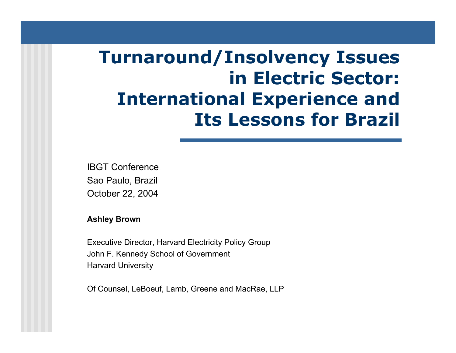# **Turnaround/Insolvency Issues in Electric Sector: International Experience and Its Lessons for Brazil**

IBGT ConferenceSao Paulo, Brazil October 22, 2004

**Ashle y Brown**

Executi ve Director, Harvard Electricity Policy Group John F. Kennedy School of Governm ent Harvard University

Of Counsel, LeBoeuf, Lamb, Greene and MacRae, LLP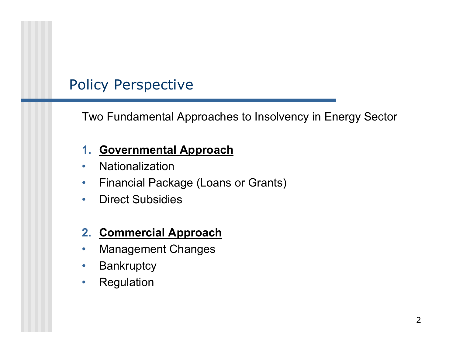## Policy Perspective

Two Fundamental Approaches to Insolvency in Energy Sector

### **1. Governmental Approach**

- •Nationalization
- $\bullet$ Financial Pac kage (Loans or Grants)
- $\bullet$ Direct Subsidies

### **2. Commercial Approach**

- •Management Changes
- $\bullet$ **Bankruptcy**
- $\bullet$ Regulation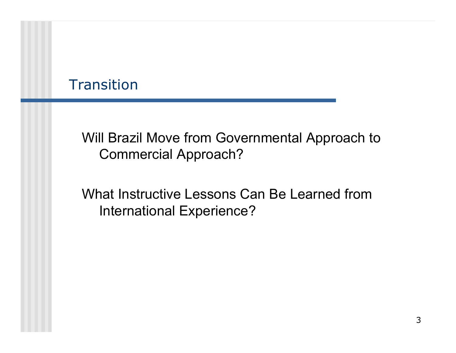### **Transition**

Will Brazil Move from Governmental Approach to Commercial Approach?

What Instructive Lessons Can Be Learned from International Experience?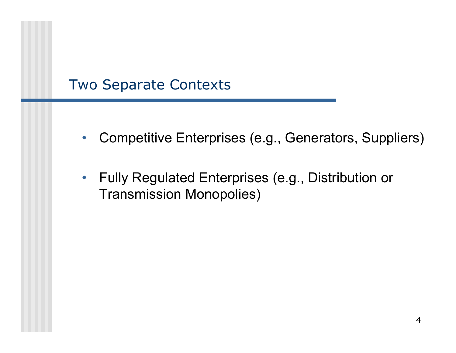### Two Separate Contexts

- $\bullet$ Competitive Enterprises (e.g., Generators, Suppliers)
- Fully Regulated Enterprises (e.g., Distribution or Transmission Monopolies)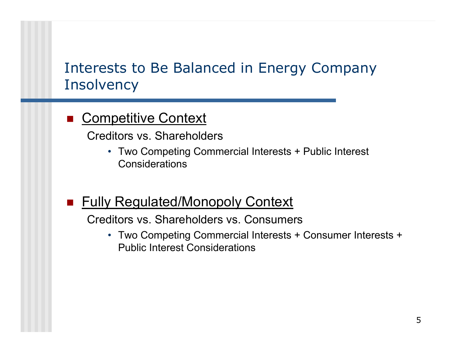### Interests to Be Balanced in Energy Company **Insolvency**

### **E** Competitive Context

Creditors vs. Shareholders

- Two Competing Commercial Interests + Public Interest Considerations
- **Fully Regulated/Monopoly Context**

Creditors vs. Shareholders vs. Consumers

• Two Competing Commercial Interests + Consumer Interests + Public Interest Considerations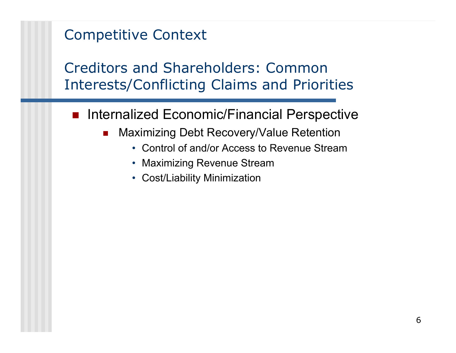Creditors and Shareholders: Common Interests/Conflicting Claims and Priorities

- **n Internalized Economic/Financial Perspective** 
	- П Maximizing Debt Recovery/Value Retention
		- Control of and/or Access to Revenue Stream
		- Maximizing Revenue Stream
		- Cost/Liability Minimization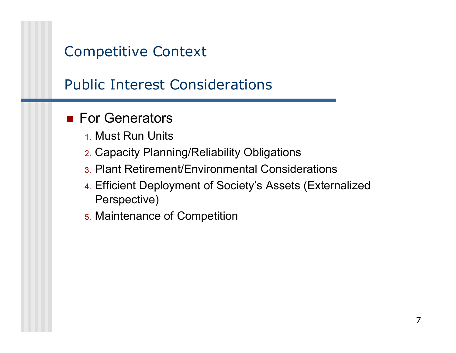## Public Interest Considerations

### **For Generators**

- 1. Must Run Units
- 2. Capacity Planning/Reliability Obligations
- 3. Plant Retirement/Environmental Considerations
- 4. Efficient Deployment of Society's Assets (Externalized Perspective)
- 5. Maintenance of Competition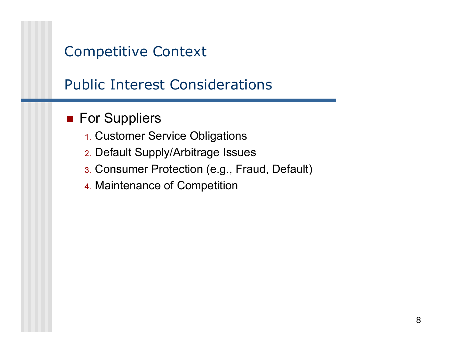## Public Interest Considerations

### **For Suppliers**

- 1. Customer Service Obligations
- 2. Default Supply/Arbitrage Issues
- 3. Consumer Protection (e.g., Fraud, Default)
- 4. Maintenance of Competition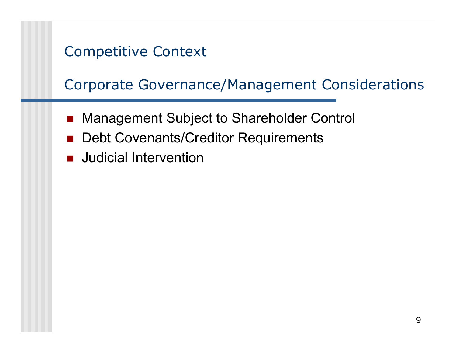Corporate Governance/Management Considerations

- $\overline{\phantom{a}}$ Management Subject to Shareholder Control
- Debt Covenants/Creditor Requirements
- $\overline{\phantom{a}}$ Judicial Intervention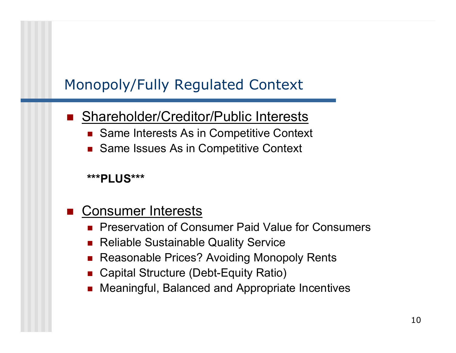#### $\overline{\phantom{a}}$ Shareholder/Creditor/Public Interests

- Same Interests As in Competitive Context
- Same Issues As in Competitive Context

### **\*\*\*PLUS\*\*\***

#### $\overline{\phantom{a}}$ Consumer Interests

- **Preservation of Consumer Paid Value for Consumers**
- $\mathcal{L}_{\mathcal{A}}$ Reliable Sustainable Quality Service
- П Reasonable Prices? Avoiding Monopoly Rents
- Capital Structure (Debt-Equity Ratio)
- П Meaningful, Balanced and Appropriate Incentives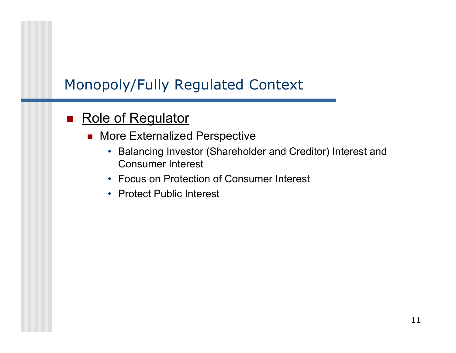### ■ Role of Regulator

- More Externalized Perspective
	- Balancing Investor (Shareholder and Creditor) Interest and Consumer Interest
	- Focus on Protection of Consumer Interest
	- Protect Public Interest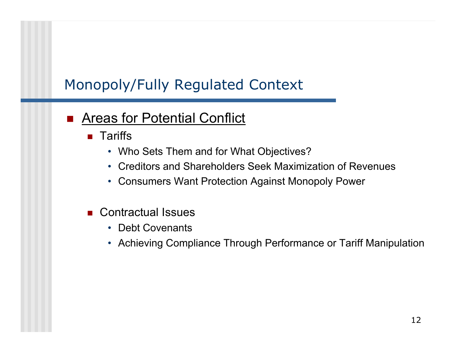#### $\overline{\phantom{a}}$ Areas for Potential Conflict

- $\blacksquare$  Tariffs
	- Who Sets Them and for What Objectives?
	- Creditors and Shareholders Seek Maximization of Revenues
	- Consumers Want Protection Against Monopoly Power
- Contractual Issues
	- Debt Covenants
	- Achieving Compliance Through Performance or Tariff Manipulation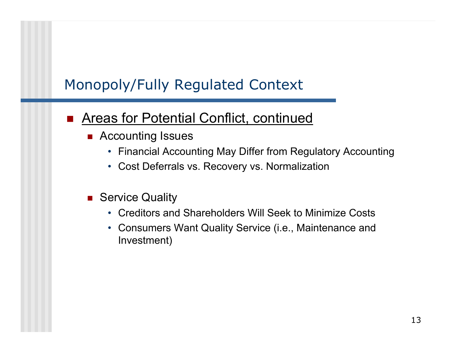#### $\overline{\phantom{a}}$ Areas for Potential Conflict, continued

- Accounting Issues
	- Financial Accounting May Differ from Regulatory Accounting
	- Cost Deferrals vs. Recovery vs. Normalization
- **Buller** Service Quality
	- Creditors and Shareholders Will Seek to Minimize Costs
	- Consumers Want Quality Service (i.e., Maintenance and Investment)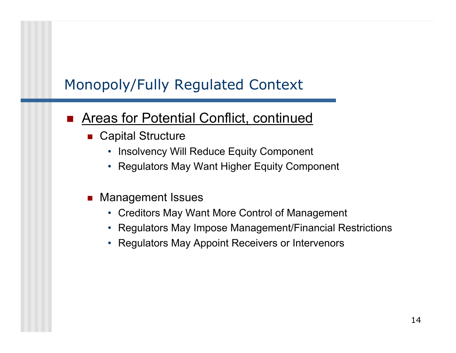#### $\overline{\phantom{a}}$ Areas for Potential Conflict, continued

- Capital Structure
	- Insolvency Will Reduce Equity Component
	- Regulators May Want Higher Equity Component
- $\mathcal{L}_{\text{max}}$  Management Issues
	- Creditors May Want More Control of Management
	- Regulators May Impose Management/Financial Restrictions
	- Regulators May Appoint Receivers or Intervenors